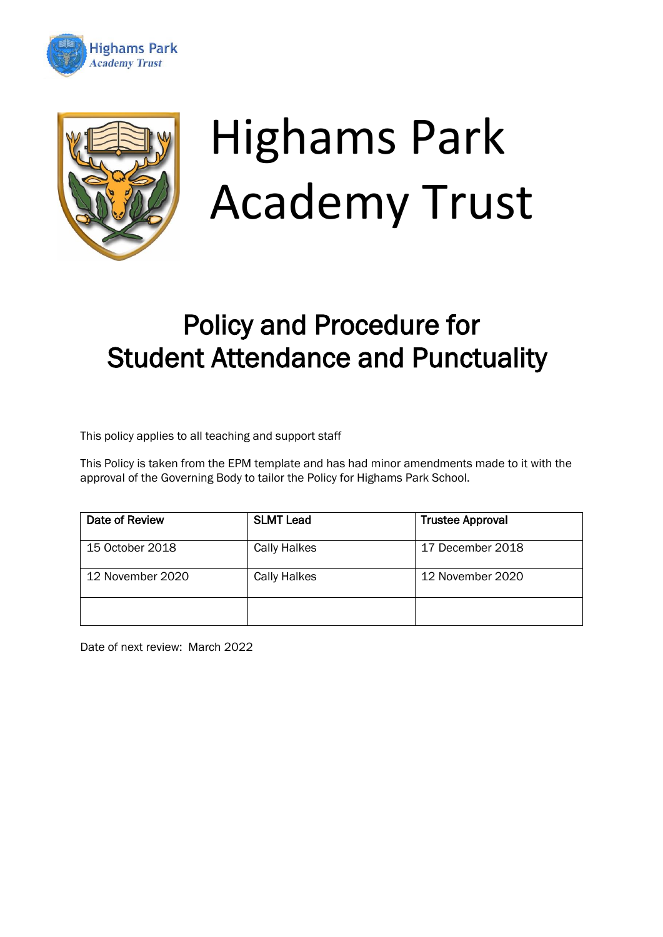



# Highams Park Academy Trust

# Policy and Procedure for Student Attendance and Punctuality

This policy applies to all teaching and support staff

This Policy is taken from the EPM template and has had minor amendments made to it with the approval of the Governing Body to tailor the Policy for Highams Park School.

| Date of Review   | <b>SLMT Lead</b>    | <b>Trustee Approval</b> |
|------------------|---------------------|-------------------------|
| 15 October 2018  | <b>Cally Halkes</b> | 17 December 2018        |
| 12 November 2020 | <b>Cally Halkes</b> | 12 November 2020        |
|                  |                     |                         |

Date of next review: March 2022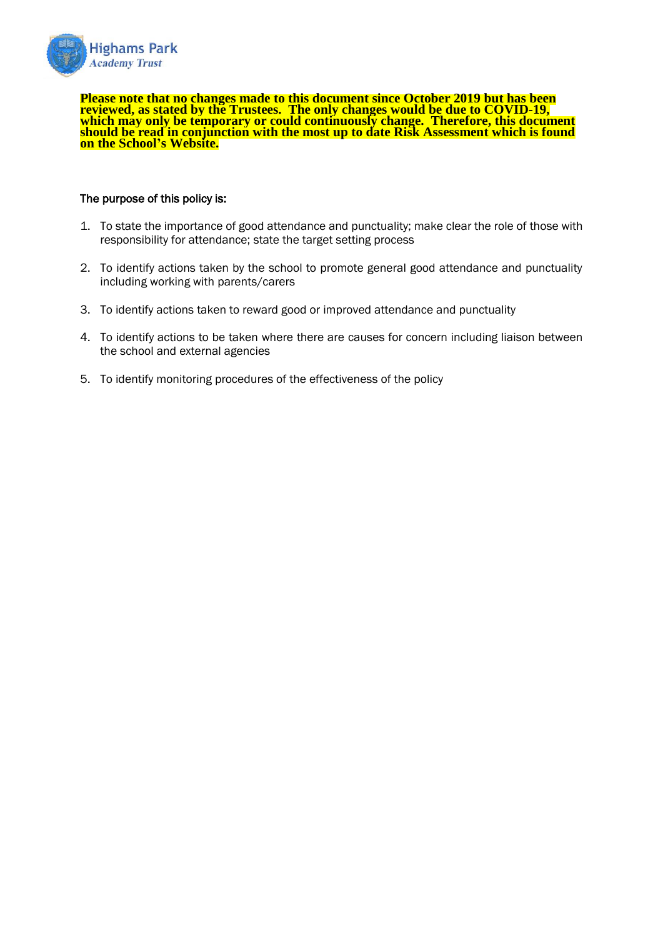

**Please note that no changes made to this document since October 2019 but has been reviewed, as stated by the Trustees. The only changes would be due to COVID-19, which may only be temporary or could continuously change. Therefore, this document should be read in conjunction with the most up to date Risk Assessment which is found on the School's Website.**

#### The purpose of this policy is:

- 1. To state the importance of good attendance and punctuality; make clear the role of those with responsibility for attendance; state the target setting process
- 2. To identify actions taken by the school to promote general good attendance and punctuality including working with parents/carers
- 3. To identify actions taken to reward good or improved attendance and punctuality
- 4. To identify actions to be taken where there are causes for concern including liaison between the school and external agencies
- 5. To identify monitoring procedures of the effectiveness of the policy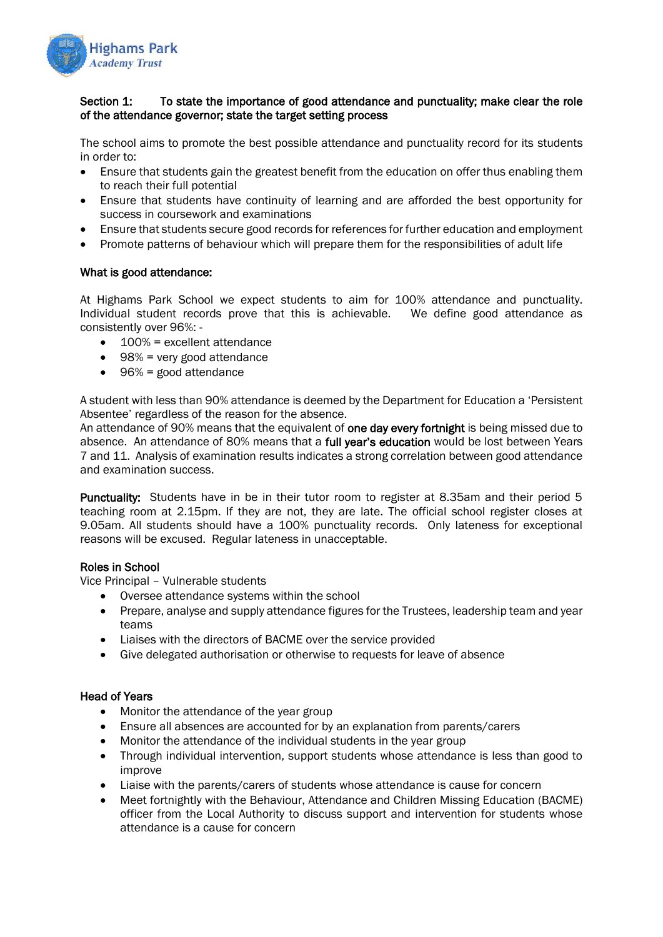

# Section 1: To state the importance of good attendance and punctuality; make clear the role of the attendance governor; state the target setting process

The school aims to promote the best possible attendance and punctuality record for its students in order to:

- Ensure that students gain the greatest benefit from the education on offer thus enabling them to reach their full potential
- Ensure that students have continuity of learning and are afforded the best opportunity for success in coursework and examinations
- Ensure that students secure good records for references for further education and employment
- Promote patterns of behaviour which will prepare them for the responsibilities of adult life

#### What is good attendance:

At Highams Park School we expect students to aim for 100% attendance and punctuality. Individual student records prove that this is achievable. We define good attendance as consistently over 96%: -

- 100% = excellent attendance
- 98% = very good attendance
- 96% = good attendance

A student with less than 90% attendance is deemed by the Department for Education a 'Persistent Absentee' regardless of the reason for the absence.

An attendance of 90% means that the equivalent of **one day every fortnight** is being missed due to absence. An attendance of 80% means that a full year's education would be lost between Years 7 and 11. Analysis of examination results indicates a strong correlation between good attendance and examination success.

Punctuality: Students have in be in their tutor room to register at 8.35am and their period 5 teaching room at 2.15pm. If they are not, they are late. The official school register closes at 9.05am. All students should have a 100% punctuality records. Only lateness for exceptional reasons will be excused. Regular lateness in unacceptable.

#### Roles in School

Vice Principal – Vulnerable students

- Oversee attendance systems within the school
- Prepare, analyse and supply attendance figures for the Trustees, leadership team and year teams
- Liaises with the directors of BACME over the service provided
- Give delegated authorisation or otherwise to requests for leave of absence

#### Head of Years

- Monitor the attendance of the year group
- Ensure all absences are accounted for by an explanation from parents/carers
- Monitor the attendance of the individual students in the year group
- Through individual intervention, support students whose attendance is less than good to improve
- Liaise with the parents/carers of students whose attendance is cause for concern
- Meet fortnightly with the Behaviour, Attendance and Children Missing Education (BACME) officer from the Local Authority to discuss support and intervention for students whose attendance is a cause for concern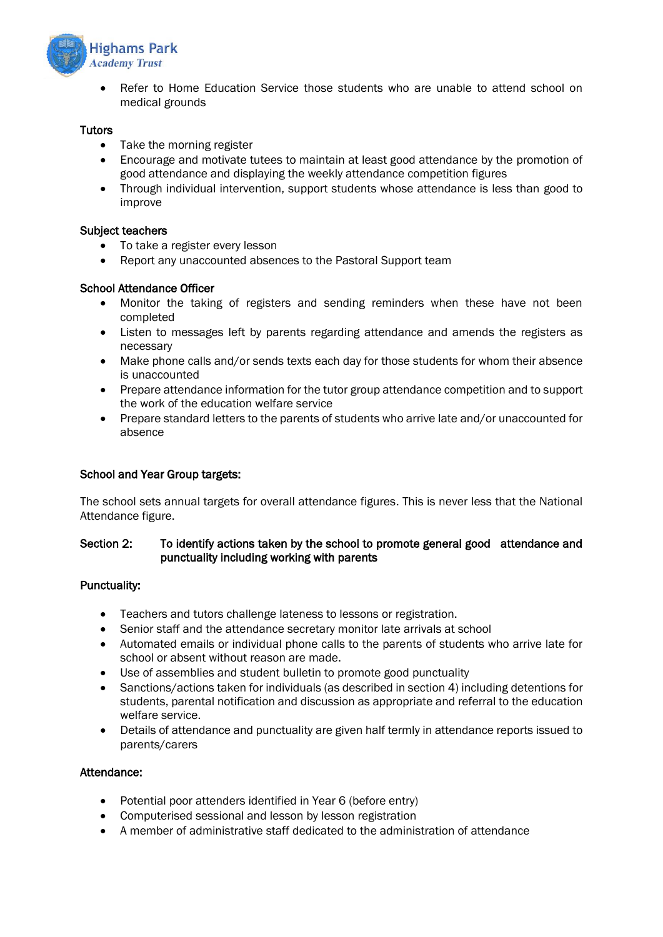

• Refer to Home Education Service those students who are unable to attend school on medical grounds

# **Tutors**

- Take the morning register
- Encourage and motivate tutees to maintain at least good attendance by the promotion of good attendance and displaying the weekly attendance competition figures
- Through individual intervention, support students whose attendance is less than good to improve

#### Subject teachers

- To take a register every lesson
- Report any unaccounted absences to the Pastoral Support team

# School Attendance Officer

- Monitor the taking of registers and sending reminders when these have not been completed
- Listen to messages left by parents regarding attendance and amends the registers as necessary
- Make phone calls and/or sends texts each day for those students for whom their absence is unaccounted
- Prepare attendance information for the tutor group attendance competition and to support the work of the education welfare service
- Prepare standard letters to the parents of students who arrive late and/or unaccounted for absence

# School and Year Group targets:

The school sets annual targets for overall attendance figures. This is never less that the National Attendance figure.

# Section 2: To identify actions taken by the school to promote general good attendance and punctuality including working with parents

#### Punctuality:

- Teachers and tutors challenge lateness to lessons or registration.
- Senior staff and the attendance secretary monitor late arrivals at school
- Automated emails or individual phone calls to the parents of students who arrive late for school or absent without reason are made.
- Use of assemblies and student bulletin to promote good punctuality
- Sanctions/actions taken for individuals (as described in section 4) including detentions for students, parental notification and discussion as appropriate and referral to the education welfare service.
- Details of attendance and punctuality are given half termly in attendance reports issued to parents/carers

# Attendance:

- Potential poor attenders identified in Year 6 (before entry)
- Computerised sessional and lesson by lesson registration
- A member of administrative staff dedicated to the administration of attendance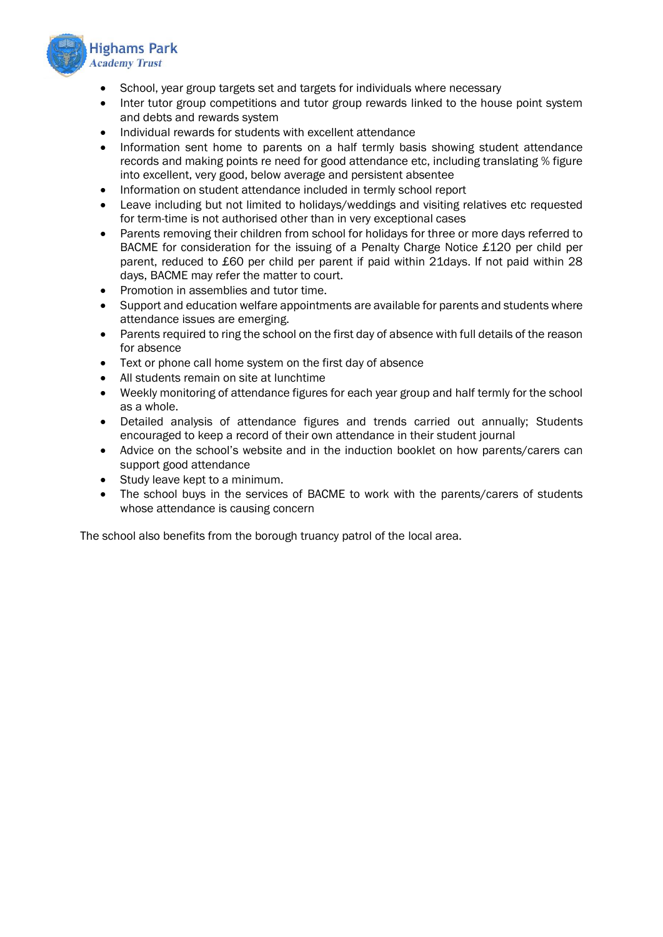

- School, year group targets set and targets for individuals where necessary
- Inter tutor group competitions and tutor group rewards linked to the house point system and debts and rewards system
- Individual rewards for students with excellent attendance
- Information sent home to parents on a half termly basis showing student attendance records and making points re need for good attendance etc, including translating % figure into excellent, very good, below average and persistent absentee
- Information on student attendance included in termly school report
- Leave including but not limited to holidays/weddings and visiting relatives etc requested for term-time is not authorised other than in very exceptional cases
- Parents removing their children from school for holidays for three or more days referred to BACME for consideration for the issuing of a Penalty Charge Notice £120 per child per parent, reduced to £60 per child per parent if paid within 21days. If not paid within 28 days, BACME may refer the matter to court.
- Promotion in assemblies and tutor time.
- Support and education welfare appointments are available for parents and students where attendance issues are emerging.
- Parents required to ring the school on the first day of absence with full details of the reason for absence
- Text or phone call home system on the first day of absence
- All students remain on site at lunchtime
- Weekly monitoring of attendance figures for each year group and half termly for the school as a whole.
- Detailed analysis of attendance figures and trends carried out annually; Students encouraged to keep a record of their own attendance in their student journal
- Advice on the school's website and in the induction booklet on how parents/carers can support good attendance
- Study leave kept to a minimum.
- The school buys in the services of BACME to work with the parents/carers of students whose attendance is causing concern

The school also benefits from the borough truancy patrol of the local area.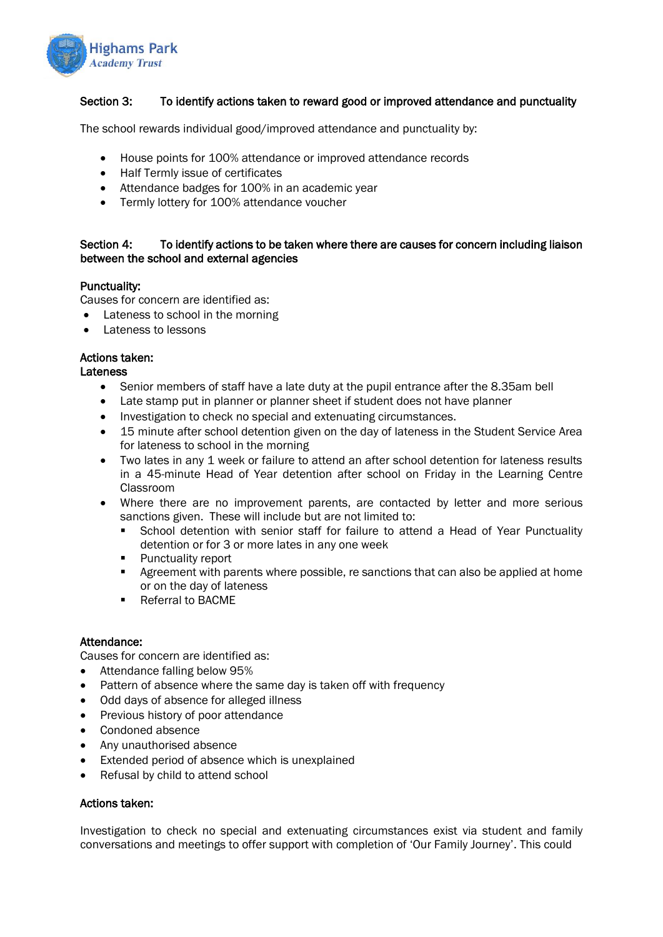

# Section 3: To identify actions taken to reward good or improved attendance and punctuality

The school rewards individual good/improved attendance and punctuality by:

- House points for 100% attendance or improved attendance records
- Half Termly issue of certificates
- Attendance badges for 100% in an academic year
- Termly lottery for 100% attendance voucher

# Section 4: To identify actions to be taken where there are causes for concern including liaison between the school and external agencies

# Punctuality:

Causes for concern are identified as:

- Lateness to school in the morning
- Lateness to lessons

# Actions taken:

Lateness

- Senior members of staff have a late duty at the pupil entrance after the 8.35am bell
- Late stamp put in planner or planner sheet if student does not have planner
- Investigation to check no special and extenuating circumstances.
- 15 minute after school detention given on the day of lateness in the Student Service Area for lateness to school in the morning
- Two lates in any 1 week or failure to attend an after school detention for lateness results in a 45-minute Head of Year detention after school on Friday in the Learning Centre Classroom
- Where there are no improvement parents, are contacted by letter and more serious sanctions given. These will include but are not limited to:
	- School detention with senior staff for failure to attend a Head of Year Punctuality detention or for 3 or more lates in any one week
	- Punctuality report
	- Agreement with parents where possible, re sanctions that can also be applied at home or on the day of lateness
	- Referral to BACME

#### Attendance:

Causes for concern are identified as:

- Attendance falling below 95%
- Pattern of absence where the same day is taken off with frequency
- Odd days of absence for alleged illness
- Previous history of poor attendance
- Condoned absence
- Any unauthorised absence
- Extended period of absence which is unexplained
- Refusal by child to attend school

#### Actions taken:

Investigation to check no special and extenuating circumstances exist via student and family conversations and meetings to offer support with completion of 'Our Family Journey'. This could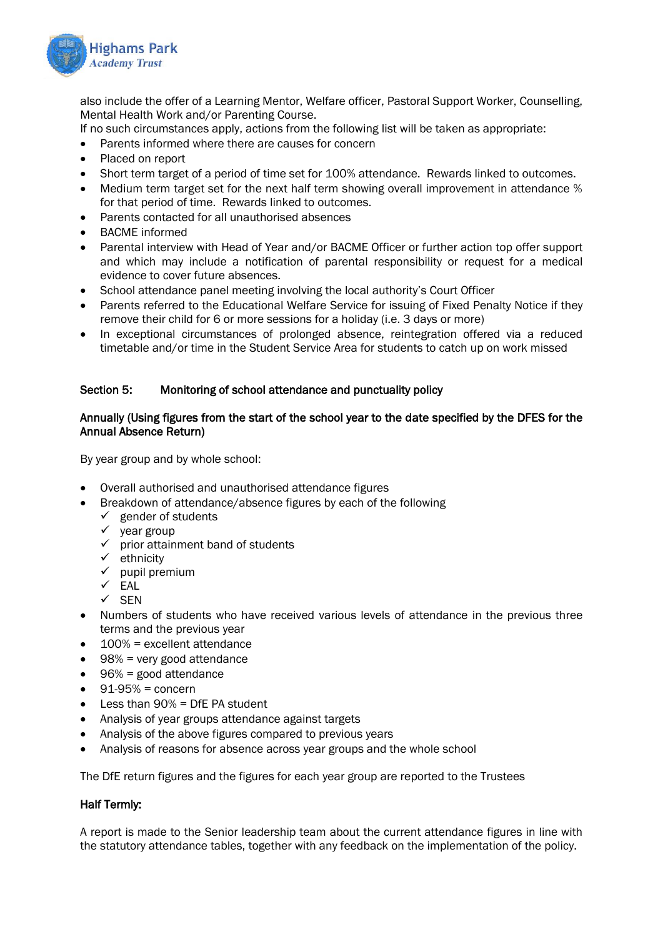

also include the offer of a Learning Mentor, Welfare officer, Pastoral Support Worker, Counselling, Mental Health Work and/or Parenting Course.

If no such circumstances apply, actions from the following list will be taken as appropriate:

- Parents informed where there are causes for concern
- Placed on report
- Short term target of a period of time set for 100% attendance. Rewards linked to outcomes.
- Medium term target set for the next half term showing overall improvement in attendance % for that period of time. Rewards linked to outcomes.
- Parents contacted for all unauthorised absences
- BACME informed
- Parental interview with Head of Year and/or BACME Officer or further action top offer support and which may include a notification of parental responsibility or request for a medical evidence to cover future absences.
- School attendance panel meeting involving the local authority's Court Officer
- Parents referred to the Educational Welfare Service for issuing of Fixed Penalty Notice if they remove their child for 6 or more sessions for a holiday (i.e. 3 days or more)
- In exceptional circumstances of prolonged absence, reintegration offered via a reduced timetable and/or time in the Student Service Area for students to catch up on work missed

# Section 5: Monitoring of school attendance and punctuality policy

#### Annually (Using figures from the start of the school year to the date specified by the DFES for the Annual Absence Return)

By year group and by whole school:

- Overall authorised and unauthorised attendance figures
	- Breakdown of attendance/absence figures by each of the following
	- $\checkmark$  gender of students
		- ✓ year group
		- ✓ prior attainment band of students
		- ✓ ethnicity
		- $\checkmark$  pupil premium
		- $\checkmark$  EAL
		- ✓ SEN
- Numbers of students who have received various levels of attendance in the previous three terms and the previous year
- 100% = excellent attendance
- 98% = very good attendance
- 96% = good attendance
- $\bullet$  91-95% = concern
- $\bullet$  Less than 90% = DfF PA student
- Analysis of year groups attendance against targets
- Analysis of the above figures compared to previous years
- Analysis of reasons for absence across year groups and the whole school

The DfE return figures and the figures for each year group are reported to the Trustees

#### Half Termly:

A report is made to the Senior leadership team about the current attendance figures in line with the statutory attendance tables, together with any feedback on the implementation of the policy.